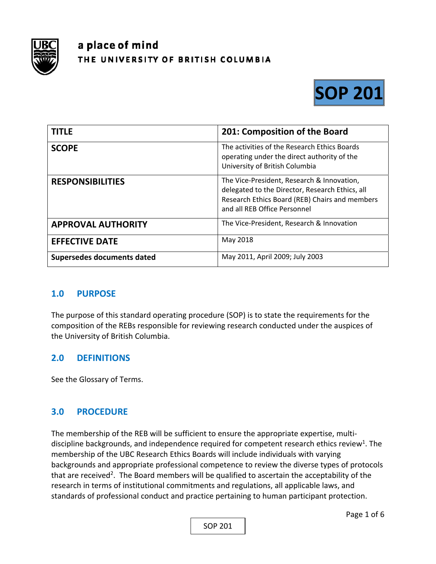

# a place of mind THE UNIVERSITY OF BRITISH COLUMBIA



| <b>TITLE</b>               | 201: Composition of the Board                                                                                                                                                   |
|----------------------------|---------------------------------------------------------------------------------------------------------------------------------------------------------------------------------|
| <b>SCOPE</b>               | The activities of the Research Ethics Boards<br>operating under the direct authority of the<br>University of British Columbia                                                   |
| <b>RESPONSIBILITIES</b>    | The Vice-President, Research & Innovation,<br>delegated to the Director, Research Ethics, all<br>Research Ethics Board (REB) Chairs and members<br>and all REB Office Personnel |
| <b>APPROVAL AUTHORITY</b>  | The Vice-President, Research & Innovation                                                                                                                                       |
| <b>EFFECTIVE DATE</b>      | May 2018                                                                                                                                                                        |
| Supersedes documents dated | May 2011, April 2009; July 2003                                                                                                                                                 |

# **1.0 PURPOSE**

The purpose of this standard operating procedure (SOP) is to state the requirements for the composition of the REBs responsible for reviewing research conducted under the auspices of the University of British Columbia.

# **2.0 DEFINITIONS**

See the Glossary of Terms.

# **3.0 PROCEDURE**

The membership of the REB will be sufficient to ensure the appropriate expertise, multi‐ discipline backgrounds, and independence required for competent research ethics review<sup>1</sup>. The membership of the UBC Research Ethics Boards will include individuals with varying backgrounds and appropriate professional competence to review the diverse types of protocols that are received<sup>2</sup>. The Board members will be qualified to ascertain the acceptability of the research in terms of institutional commitments and regulations, all applicable laws, and standards of professional conduct and practice pertaining to human participant protection.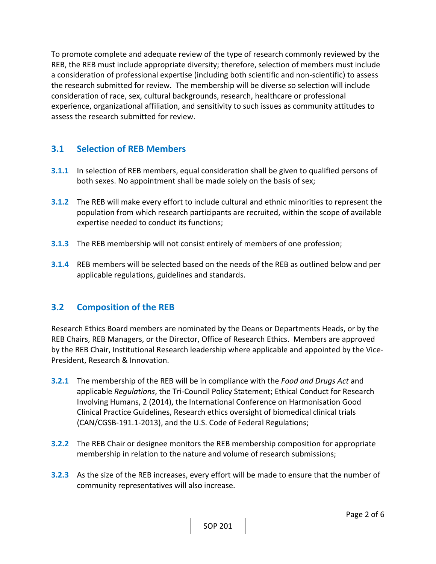To promote complete and adequate review of the type of research commonly reviewed by the REB, the REB must include appropriate diversity; therefore, selection of members must include a consideration of professional expertise (including both scientific and non‐scientific) to assess the research submitted for review. The membership will be diverse so selection will include consideration of race, sex, cultural backgrounds, research, healthcare or professional experience, organizational affiliation, and sensitivity to such issues as community attitudes to assess the research submitted for review.

# **3.1 Selection of REB Members**

- **3.1.1** In selection of REB members, equal consideration shall be given to qualified persons of both sexes. No appointment shall be made solely on the basis of sex;
- **3.1.2** The REB will make every effort to include cultural and ethnic minorities to represent the population from which research participants are recruited, within the scope of available expertise needed to conduct its functions;
- **3.1.3**  The REB membership will not consist entirely of members of one profession;
- **3.1.4**  REB members will be selected based on the needs of the REB as outlined below and per applicable regulations, guidelines and standards.

# **3.2 Composition of the REB**

Research Ethics Board members are nominated by the Deans or Departments Heads, or by the REB Chairs, REB Managers, or the Director, Office of Research Ethics. Members are approved by the REB Chair, Institutional Research leadership where applicable and appointed by the Vice‐ President, Research & Innovation.

- **3.2.1**  The membership of the REB will be in compliance with the *Food and Drugs Act* and applicable *Regulations*, the Tri‐Council Policy Statement; Ethical Conduct for Research Involving Humans, 2 (2014), the International Conference on Harmonisation Good Clinical Practice Guidelines, Research ethics oversight of biomedical clinical trials (CAN/CGSB‐191.1‐2013), and the U.S. Code of Federal Regulations;
- **3.2.2**  The REB Chair or designee monitors the REB membership composition for appropriate membership in relation to the nature and volume of research submissions;
- **3.2.3**  As the size of the REB increases, every effort will be made to ensure that the number of community representatives will also increase.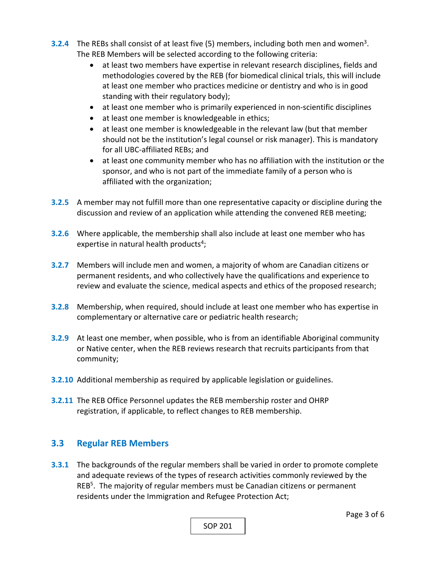- **3.2.4** The REBs shall consist of at least five (5) members, including both men and women<sup>3</sup>. The REB Members will be selected according to the following criteria:
	- at least two members have expertise in relevant research disciplines, fields and methodologies covered by the REB (for biomedical clinical trials, this will include at least one member who practices medicine or dentistry and who is in good standing with their regulatory body);
	- at least one member who is primarily experienced in non-scientific disciplines
	- at least one member is knowledgeable in ethics;
	- at least one member is knowledgeable in the relevant law (but that member should not be the institution's legal counsel or risk manager). This is mandatory for all UBC‐affiliated REBs; and
	- at least one community member who has no affiliation with the institution or the sponsor, and who is not part of the immediate family of a person who is affiliated with the organization;
- **3.2.5**  A member may not fulfill more than one representative capacity or discipline during the discussion and review of an application while attending the convened REB meeting;
- **3.2.6**  Where applicable, the membership shall also include at least one member who has expertise in natural health products<sup>4</sup>;
- **3.2.7**  Members will include men and women, a majority of whom are Canadian citizens or permanent residents, and who collectively have the qualifications and experience to review and evaluate the science, medical aspects and ethics of the proposed research;
- **3.2.8**  Membership, when required, should include at least one member who has expertise in complementary or alternative care or pediatric health research;
- **3.2.9**  At least one member, when possible, who is from an identifiable Aboriginal community or Native center, when the REB reviews research that recruits participants from that community;
- **3.2.10**  Additional membership as required by applicable legislation or guidelines.
- **3.2.11**  The REB Office Personnel updates the REB membership roster and OHRP registration, if applicable, to reflect changes to REB membership.

# **3.3 Regular REB Members**

**3.3.1**  The backgrounds of the regular members shall be varied in order to promote complete and adequate reviews of the types of research activities commonly reviewed by the REB<sup>5</sup>. The majority of regular members must be Canadian citizens or permanent residents under the Immigration and Refugee Protection Act;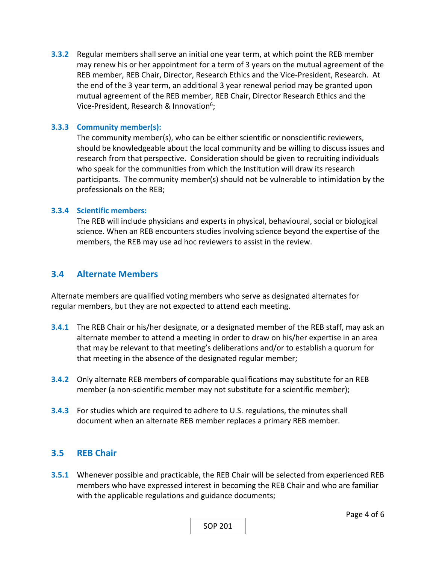**3.3.2** Regular members shall serve an initial one year term, at which point the REB member may renew his or her appointment for a term of 3 years on the mutual agreement of the REB member, REB Chair, Director, Research Ethics and the Vice‐President, Research. At the end of the 3 year term, an additional 3 year renewal period may be granted upon mutual agreement of the REB member, REB Chair, Director Research Ethics and the Vice-President, Research & Innovation<sup>6</sup>;

#### **3.3.3 Community member(s):**

The community member(s), who can be either scientific or nonscientific reviewers, should be knowledgeable about the local community and be willing to discuss issues and research from that perspective. Consideration should be given to recruiting individuals who speak for the communities from which the Institution will draw its research participants. The community member(s) should not be vulnerable to intimidation by the professionals on the REB;

#### **3.3.4 Scientific members:**

The REB will include physicians and experts in physical, behavioural, social or biological science. When an REB encounters studies involving science beyond the expertise of the members, the REB may use ad hoc reviewers to assist in the review.

## **3.4 Alternate Members**

Alternate members are qualified voting members who serve as designated alternates for regular members, but they are not expected to attend each meeting.

- **3.4.1**  The REB Chair or his/her designate, or a designated member of the REB staff, may ask an alternate member to attend a meeting in order to draw on his/her expertise in an area that may be relevant to that meeting's deliberations and/or to establish a quorum for that meeting in the absence of the designated regular member;
- **3.4.2**  Only alternate REB members of comparable qualifications may substitute for an REB member (a non-scientific member may not substitute for a scientific member);
- **3.4.3**  For studies which are required to adhere to U.S. regulations, the minutes shall document when an alternate REB member replaces a primary REB member.

## **3.5 REB Chair**

**3.5.1**  Whenever possible and practicable, the REB Chair will be selected from experienced REB members who have expressed interest in becoming the REB Chair and who are familiar with the applicable regulations and guidance documents;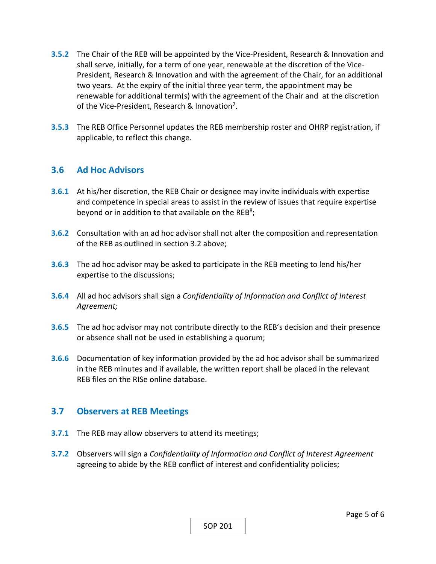- **3.5.2**  The Chair of the REB will be appointed by the Vice‐President, Research & Innovation and shall serve, initially, for a term of one year, renewable at the discretion of the Vice‐ President, Research & Innovation and with the agreement of the Chair, for an additional two years. At the expiry of the initial three year term, the appointment may be renewable for additional term(s) with the agreement of the Chair and at the discretion of the Vice-President, Research & Innovation<sup>7</sup>.
- **3.5.3**  The REB Office Personnel updates the REB membership roster and OHRP registration, if applicable, to reflect this change.

## **3.6 Ad Hoc Advisors**

- **3.6.1**  At his/her discretion, the REB Chair or designee may invite individuals with expertise and competence in special areas to assist in the review of issues that require expertise beyond or in addition to that available on the REB<sup>8</sup>;
- **3.6.2**  Consultation with an ad hoc advisor shall not alter the composition and representation of the REB as outlined in section 3.2 above;
- **3.6.3**  The ad hoc advisor may be asked to participate in the REB meeting to lend his/her expertise to the discussions;
- **3.6.4**  All ad hoc advisors shall sign a *Confidentiality of Information and Conflict of Interest Agreement;*
- **3.6.5**  The ad hoc advisor may not contribute directly to the REB's decision and their presence or absence shall not be used in establishing a quorum;
- **3.6.6**  Documentation of key information provided by the ad hoc advisor shall be summarized in the REB minutes and if available, the written report shall be placed in the relevant REB files on the RISe online database.

## **3.7 Observers at REB Meetings**

- **3.7.1** The REB may allow observers to attend its meetings;
- **3.7.2**  Observers will sign a *Confidentiality of Information and Conflict of Interest Agreement*  agreeing to abide by the REB conflict of interest and confidentiality policies;